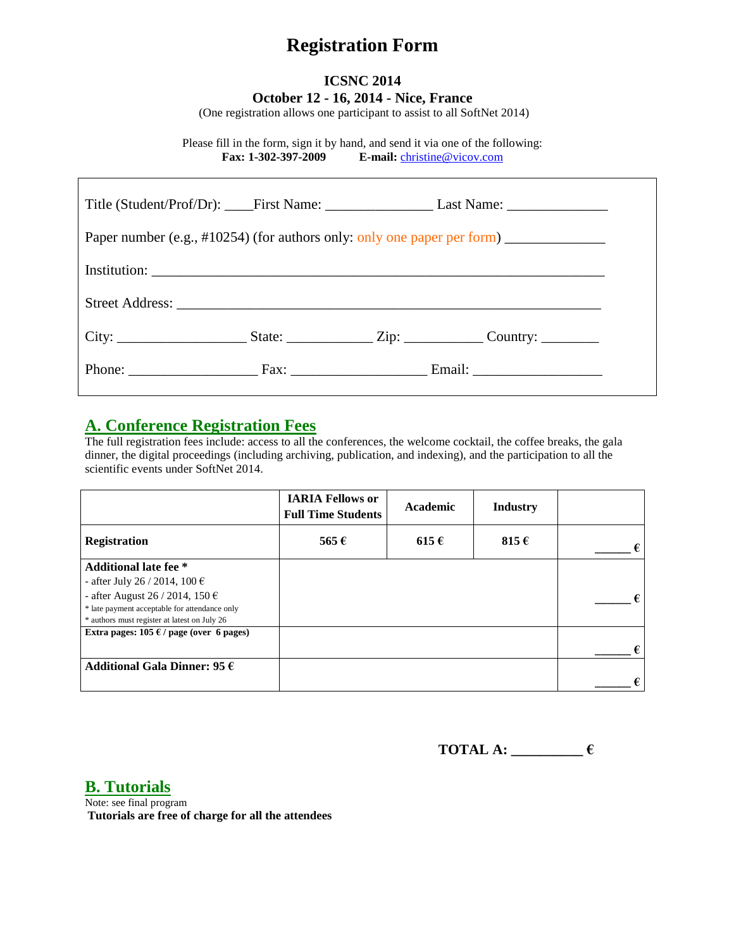# **Registration Form**

### **ICSNC 2014 October 12 - 16, 2014 - Nice, France**

(One registration allows one participant to assist to all SoftNet 2014)

Please fill in the form, sign it by hand, and send it via one of the following: **Fax: 1-302-397-2009 E-mail:** [christine@vicov.com](mailto:christine@vicov.com)

| Paper number (e.g., #10254) (for authors only: only one paper per form) _______________ |  |  |                                                                                                      |  |  |
|-----------------------------------------------------------------------------------------|--|--|------------------------------------------------------------------------------------------------------|--|--|
|                                                                                         |  |  |                                                                                                      |  |  |
|                                                                                         |  |  |                                                                                                      |  |  |
|                                                                                         |  |  | City: _________________________State: ___________________Zip: ________________Country: _____________ |  |  |
|                                                                                         |  |  | Phone: Fax: Fax: Francisco Email: Email:                                                             |  |  |

## **A. Conference Registration Fees**

The full registration fees include: access to all the conferences, the welcome cocktail, the coffee breaks, the gala dinner, the digital proceedings (including archiving, publication, and indexing), and the participation to all the scientific events under SoftNet 2014.

|                                                 | <b>IARIA Fellows or</b><br><b>Full Time Students</b> | Academic  | <b>Industry</b> |   |
|-------------------------------------------------|------------------------------------------------------|-----------|-----------------|---|
| <b>Registration</b>                             | 565 $\epsilon$                                       | $615 \in$ | 815 $\epsilon$  | € |
| <b>Additional late fee</b> *                    |                                                      |           |                 |   |
| - after July 26 / 2014, 100 €                   |                                                      |           |                 |   |
| - after August 26 / 2014, 150 $\epsilon$        |                                                      |           |                 |   |
| * late payment acceptable for attendance only   |                                                      |           |                 |   |
| * authors must register at latest on July 26    |                                                      |           |                 |   |
| Extra pages: $105 \in \ell$ page (over 6 pages) |                                                      |           |                 |   |
|                                                 |                                                      |           |                 | € |
| Additional Gala Dinner: 95 $\epsilon$           |                                                      |           |                 |   |
|                                                 |                                                      |           |                 | € |

**TOTAL A: \_\_\_\_\_\_\_\_\_\_ €**

**B. Tutorials**

Note: see final program **Tutorials are free of charge for all the attendees**